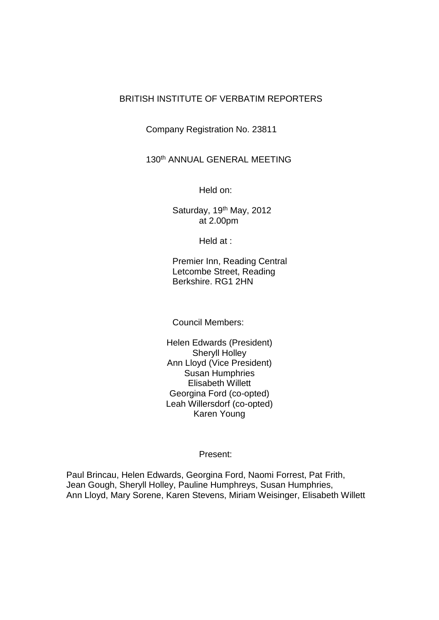## BRITISH INSTITUTE OF VERBATIM REPORTERS

Company Registration No. 23811

130th ANNUAL GENERAL MEETING

Held on:

Saturday, 19<sup>th</sup> May, 2012 at 2.00pm

Held at :

Premier Inn, Reading Central Letcombe Street, Reading Berkshire. RG1 2HN

Council Members:

Helen Edwards (President) Sheryll Holley Ann Lloyd (Vice President) Susan Humphries Elisabeth Willett Georgina Ford (co-opted) Leah Willersdorf (co-opted) Karen Young

Present:

Paul Brincau, Helen Edwards, Georgina Ford, Naomi Forrest, Pat Frith, Jean Gough, Sheryll Holley, Pauline Humphreys, Susan Humphries, Ann Lloyd, Mary Sorene, Karen Stevens, Miriam Weisinger, Elisabeth Willett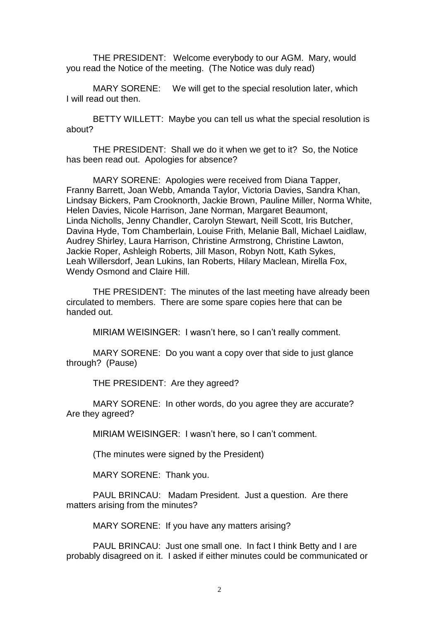THE PRESIDENT: Welcome everybody to our AGM. Mary, would you read the Notice of the meeting. (The Notice was duly read)

MARY SORENE: We will get to the special resolution later, which I will read out then.

BETTY WILLETT: Maybe you can tell us what the special resolution is about?

THE PRESIDENT: Shall we do it when we get to it? So, the Notice has been read out. Apologies for absence?

MARY SORENE: Apologies were received from Diana Tapper, Franny Barrett, Joan Webb, Amanda Taylor, Victoria Davies, Sandra Khan, Lindsay Bickers, Pam Crooknorth, Jackie Brown, Pauline Miller, Norma White, Helen Davies, Nicole Harrison, Jane Norman, Margaret Beaumont, Linda Nicholls, Jenny Chandler, Carolyn Stewart, Neill Scott, Iris Butcher, Davina Hyde, Tom Chamberlain, Louise Frith, Melanie Ball, Michael Laidlaw, Audrey Shirley, Laura Harrison, Christine Armstrong, Christine Lawton, Jackie Roper, Ashleigh Roberts, Jill Mason, Robyn Nott, Kath Sykes, Leah Willersdorf, Jean Lukins, Ian Roberts, Hilary Maclean, Mirella Fox, Wendy Osmond and Claire Hill.

THE PRESIDENT: The minutes of the last meeting have already been circulated to members. There are some spare copies here that can be handed out.

MIRIAM WEISINGER: I wasn't here, so I can't really comment.

MARY SORENE: Do you want a copy over that side to just glance through? (Pause)

THE PRESIDENT: Are they agreed?

MARY SORENE: In other words, do you agree they are accurate? Are they agreed?

MIRIAM WEISINGER: I wasn't here, so I can't comment.

(The minutes were signed by the President)

MARY SORENE: Thank you.

PAUL BRINCAU: Madam President. Just a question. Are there matters arising from the minutes?

MARY SORENE: If you have any matters arising?

PAUL BRINCAU: Just one small one. In fact I think Betty and I are probably disagreed on it. I asked if either minutes could be communicated or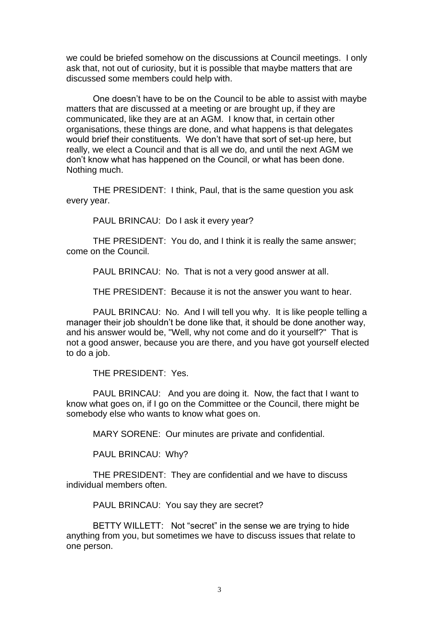we could be briefed somehow on the discussions at Council meetings. I only ask that, not out of curiosity, but it is possible that maybe matters that are discussed some members could help with.

One doesn't have to be on the Council to be able to assist with maybe matters that are discussed at a meeting or are brought up, if they are communicated, like they are at an AGM. I know that, in certain other organisations, these things are done, and what happens is that delegates would brief their constituents. We don't have that sort of set-up here, but really, we elect a Council and that is all we do, and until the next AGM we don't know what has happened on the Council, or what has been done. Nothing much.

THE PRESIDENT: I think, Paul, that is the same question you ask every year.

PAUL BRINCAU: Do I ask it every year?

THE PRESIDENT: You do, and I think it is really the same answer; come on the Council.

PAUL BRINCAU: No. That is not a very good answer at all.

THE PRESIDENT: Because it is not the answer you want to hear.

PAUL BRINCAU: No. And I will tell you why. It is like people telling a manager their job shouldn't be done like that, it should be done another way, and his answer would be, "Well, why not come and do it yourself?" That is not a good answer, because you are there, and you have got yourself elected to do a job.

THE PRESIDENT: Yes.

PAUL BRINCAU: And you are doing it. Now, the fact that I want to know what goes on, if I go on the Committee or the Council, there might be somebody else who wants to know what goes on.

MARY SORENE: Our minutes are private and confidential.

PAUL BRINCAU: Why?

THE PRESIDENT: They are confidential and we have to discuss individual members often.

PAUL BRINCAU: You say they are secret?

BETTY WILLETT: Not "secret" in the sense we are trying to hide anything from you, but sometimes we have to discuss issues that relate to one person.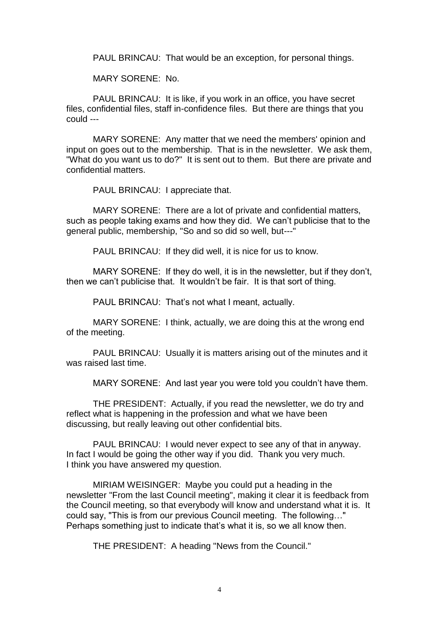PAUL BRINCAU: That would be an exception, for personal things.

MARY SORENE: No.

PAUL BRINCAU: It is like, if you work in an office, you have secret files, confidential files, staff in-confidence files. But there are things that you could ---

MARY SORENE: Any matter that we need the members' opinion and input on goes out to the membership. That is in the newsletter. We ask them, "What do you want us to do?" It is sent out to them. But there are private and confidential matters.

PAUL BRINCAU: I appreciate that.

MARY SORENE: There are a lot of private and confidential matters, such as people taking exams and how they did. We can't publicise that to the general public, membership, "So and so did so well, but---"

PAUL BRINCAU: If they did well, it is nice for us to know.

MARY SORENE: If they do well, it is in the newsletter, but if they don't, then we can't publicise that. It wouldn't be fair. It is that sort of thing.

PAUL BRINCAU: That's not what I meant, actually.

MARY SORENE: I think, actually, we are doing this at the wrong end of the meeting.

PAUL BRINCAU: Usually it is matters arising out of the minutes and it was raised last time.

MARY SORENE: And last year you were told you couldn't have them.

THE PRESIDENT: Actually, if you read the newsletter, we do try and reflect what is happening in the profession and what we have been discussing, but really leaving out other confidential bits.

PAUL BRINCAU: I would never expect to see any of that in anyway. In fact I would be going the other way if you did. Thank you very much. I think you have answered my question.

MIRIAM WEISINGER: Maybe you could put a heading in the newsletter "From the last Council meeting", making it clear it is feedback from the Council meeting, so that everybody will know and understand what it is. It could say, "This is from our previous Council meeting. The following…" Perhaps something just to indicate that's what it is, so we all know then.

THE PRESIDENT: A heading "News from the Council."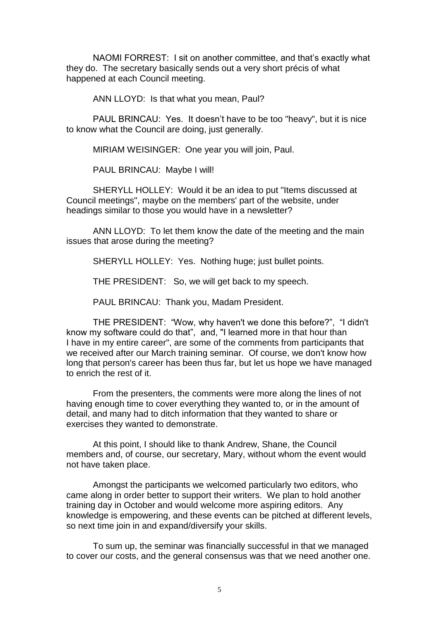NAOMI FORREST: I sit on another committee, and that's exactly what they do. The secretary basically sends out a very short précis of what happened at each Council meeting.

ANN LLOYD: Is that what you mean, Paul?

PAUL BRINCAU: Yes. It doesn't have to be too "heavy", but it is nice to know what the Council are doing, just generally.

MIRIAM WEISINGER: One year you will join, Paul.

PAUL BRINCAU: Maybe I will!

SHERYLL HOLLEY: Would it be an idea to put "Items discussed at Council meetings", maybe on the members' part of the website, under headings similar to those you would have in a newsletter?

ANN LLOYD: To let them know the date of the meeting and the main issues that arose during the meeting?

SHERYLL HOLLEY: Yes. Nothing huge; just bullet points.

THE PRESIDENT: So, we will get back to my speech.

PAUL BRINCAU: Thank you, Madam President.

THE PRESIDENT: "Wow, why haven't we done this before?", "I didn't know my software could do that", and, "I learned more in that hour than I have in my entire career", are some of the comments from participants that we received after our March training seminar. Of course, we don't know how long that person's career has been thus far, but let us hope we have managed to enrich the rest of it.

From the presenters, the comments were more along the lines of not having enough time to cover everything they wanted to, or in the amount of detail, and many had to ditch information that they wanted to share or exercises they wanted to demonstrate.

At this point, I should like to thank Andrew, Shane, the Council members and, of course, our secretary, Mary, without whom the event would not have taken place.

Amongst the participants we welcomed particularly two editors, who came along in order better to support their writers. We plan to hold another training day in October and would welcome more aspiring editors. Any knowledge is empowering, and these events can be pitched at different levels, so next time join in and expand/diversify your skills.

To sum up, the seminar was financially successful in that we managed to cover our costs, and the general consensus was that we need another one.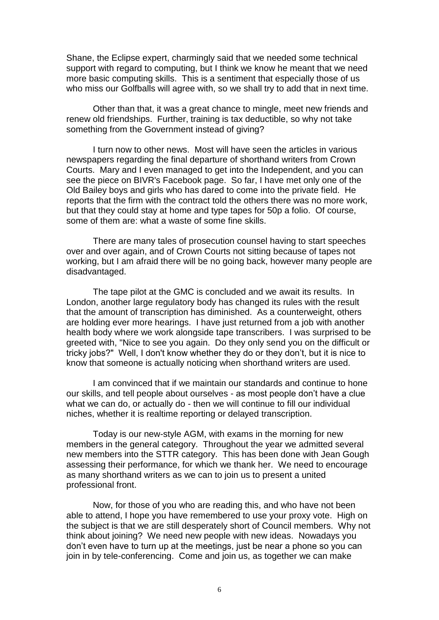Shane, the Eclipse expert, charmingly said that we needed some technical support with regard to computing, but I think we know he meant that we need more basic computing skills. This is a sentiment that especially those of us who miss our Golfballs will agree with, so we shall try to add that in next time.

Other than that, it was a great chance to mingle, meet new friends and renew old friendships. Further, training is tax deductible, so why not take something from the Government instead of giving?

I turn now to other news. Most will have seen the articles in various newspapers regarding the final departure of shorthand writers from Crown Courts. Mary and I even managed to get into the Independent, and you can see the piece on BIVR's Facebook page. So far, I have met only one of the Old Bailey boys and girls who has dared to come into the private field. He reports that the firm with the contract told the others there was no more work, but that they could stay at home and type tapes for 50p a folio. Of course, some of them are: what a waste of some fine skills.

There are many tales of prosecution counsel having to start speeches over and over again, and of Crown Courts not sitting because of tapes not working, but I am afraid there will be no going back, however many people are disadvantaged.

The tape pilot at the GMC is concluded and we await its results. In London, another large regulatory body has changed its rules with the result that the amount of transcription has diminished. As a counterweight, others are holding ever more hearings. I have just returned from a job with another health body where we work alongside tape transcribers. I was surprised to be greeted with, "Nice to see you again. Do they only send you on the difficult or tricky jobs?" Well, I don't know whether they do or they don't, but it is nice to know that someone is actually noticing when shorthand writers are used.

I am convinced that if we maintain our standards and continue to hone our skills, and tell people about ourselves - as most people don't have a clue what we can do, or actually do - then we will continue to fill our individual niches, whether it is realtime reporting or delayed transcription.

Today is our new-style AGM, with exams in the morning for new members in the general category. Throughout the year we admitted several new members into the STTR category. This has been done with Jean Gough assessing their performance, for which we thank her. We need to encourage as many shorthand writers as we can to join us to present a united professional front.

Now, for those of you who are reading this, and who have not been able to attend, I hope you have remembered to use your proxy vote. High on the subject is that we are still desperately short of Council members. Why not think about joining? We need new people with new ideas. Nowadays you don't even have to turn up at the meetings, just be near a phone so you can join in by tele-conferencing. Come and join us, as together we can make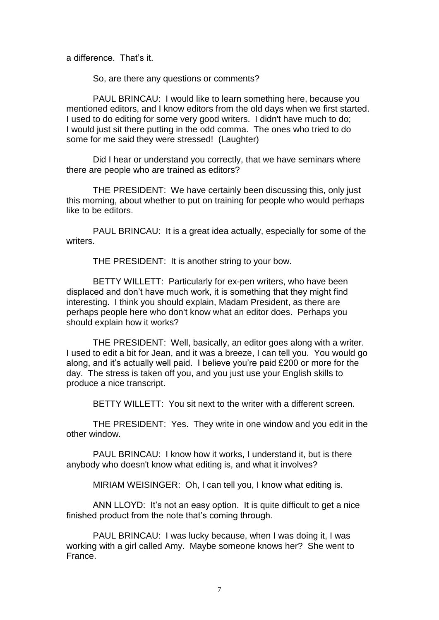a difference. That's it.

So, are there any questions or comments?

PAUL BRINCAU: I would like to learn something here, because you mentioned editors, and I know editors from the old days when we first started. I used to do editing for some very good writers. I didn't have much to do; I would just sit there putting in the odd comma. The ones who tried to do some for me said they were stressed! (Laughter)

Did I hear or understand you correctly, that we have seminars where there are people who are trained as editors?

THE PRESIDENT: We have certainly been discussing this, only just this morning, about whether to put on training for people who would perhaps like to be editors.

PAUL BRINCAU: It is a great idea actually, especially for some of the writers.

THE PRESIDENT: It is another string to your bow.

BETTY WILLETT: Particularly for ex-pen writers, who have been displaced and don't have much work, it is something that they might find interesting. I think you should explain, Madam President, as there are perhaps people here who don't know what an editor does. Perhaps you should explain how it works?

THE PRESIDENT: Well, basically, an editor goes along with a writer. I used to edit a bit for Jean, and it was a breeze, I can tell you. You would go along, and it's actually well paid. I believe you're paid £200 or more for the day. The stress is taken off you, and you just use your English skills to produce a nice transcript.

BETTY WILLETT: You sit next to the writer with a different screen.

THE PRESIDENT: Yes. They write in one window and you edit in the other window.

PAUL BRINCAU: I know how it works, I understand it, but is there anybody who doesn't know what editing is, and what it involves?

MIRIAM WEISINGER: Oh, I can tell you, I know what editing is.

ANN LLOYD: It's not an easy option. It is quite difficult to get a nice finished product from the note that's coming through.

PAUL BRINCAU: I was lucky because, when I was doing it, I was working with a girl called Amy. Maybe someone knows her? She went to France.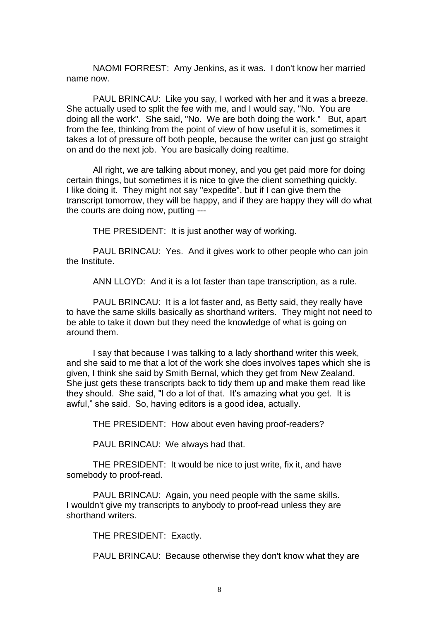NAOMI FORREST: Amy Jenkins, as it was. I don't know her married name now.

PAUL BRINCAU: Like you say, I worked with her and it was a breeze. She actually used to split the fee with me, and I would say, "No. You are doing all the work". She said, "No. We are both doing the work." But, apart from the fee, thinking from the point of view of how useful it is, sometimes it takes a lot of pressure off both people, because the writer can just go straight on and do the next job. You are basically doing realtime.

All right, we are talking about money, and you get paid more for doing certain things, but sometimes it is nice to give the client something quickly. I like doing it. They might not say "expedite", but if I can give them the transcript tomorrow, they will be happy, and if they are happy they will do what the courts are doing now, putting ---

THE PRESIDENT: It is just another way of working.

PAUL BRINCAU: Yes. And it gives work to other people who can join the Institute.

ANN LLOYD: And it is a lot faster than tape transcription, as a rule.

PAUL BRINCAU: It is a lot faster and, as Betty said, they really have to have the same skills basically as shorthand writers. They might not need to be able to take it down but they need the knowledge of what is going on around them.

I say that because I was talking to a lady shorthand writer this week, and she said to me that a lot of the work she does involves tapes which she is given, I think she said by Smith Bernal, which they get from New Zealand. She just gets these transcripts back to tidy them up and make them read like they should. She said, "I do a lot of that. It's amazing what you get. It is awful," she said. So, having editors is a good idea, actually.

THE PRESIDENT: How about even having proof-readers?

PAUL BRINCAU: We always had that.

THE PRESIDENT: It would be nice to just write, fix it, and have somebody to proof-read.

PAUL BRINCAU: Again, you need people with the same skills. I wouldn't give my transcripts to anybody to proof-read unless they are shorthand writers.

THE PRESIDENT: Exactly.

PAUL BRINCAU: Because otherwise they don't know what they are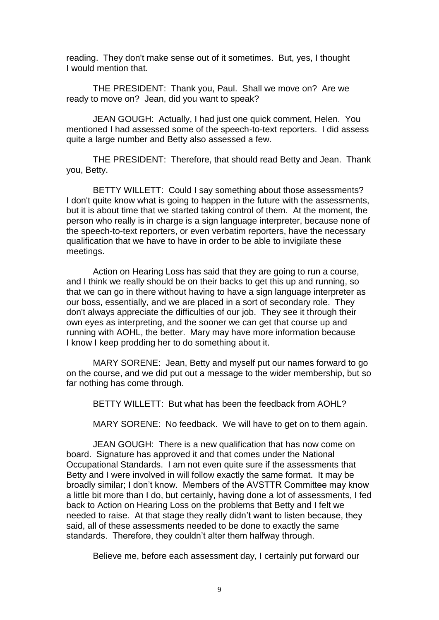reading. They don't make sense out of it sometimes. But, yes, I thought I would mention that.

THE PRESIDENT: Thank you, Paul. Shall we move on? Are we ready to move on? Jean, did you want to speak?

JEAN GOUGH: Actually, I had just one quick comment, Helen. You mentioned I had assessed some of the speech-to-text reporters. I did assess quite a large number and Betty also assessed a few.

THE PRESIDENT: Therefore, that should read Betty and Jean. Thank you, Betty.

BETTY WILLETT: Could I say something about those assessments? I don't quite know what is going to happen in the future with the assessments, but it is about time that we started taking control of them. At the moment, the person who really is in charge is a sign language interpreter, because none of the speech-to-text reporters, or even verbatim reporters, have the necessary qualification that we have to have in order to be able to invigilate these meetings.

Action on Hearing Loss has said that they are going to run a course, and I think we really should be on their backs to get this up and running, so that we can go in there without having to have a sign language interpreter as our boss, essentially, and we are placed in a sort of secondary role. They don't always appreciate the difficulties of our job. They see it through their own eyes as interpreting, and the sooner we can get that course up and running with AOHL, the better. Mary may have more information because I know I keep prodding her to do something about it.

MARY SORENE: Jean, Betty and myself put our names forward to go on the course, and we did put out a message to the wider membership, but so far nothing has come through.

BETTY WILLETT: But what has been the feedback from AOHL?

MARY SORENE: No feedback. We will have to get on to them again.

JEAN GOUGH: There is a new qualification that has now come on board. Signature has approved it and that comes under the National Occupational Standards. I am not even quite sure if the assessments that Betty and I were involved in will follow exactly the same format. It may be broadly similar; I don't know. Members of the AVSTTR Committee may know a little bit more than I do, but certainly, having done a lot of assessments, I fed back to Action on Hearing Loss on the problems that Betty and I felt we needed to raise. At that stage they really didn't want to listen because, they said, all of these assessments needed to be done to exactly the same standards. Therefore, they couldn't alter them halfway through.

Believe me, before each assessment day, I certainly put forward our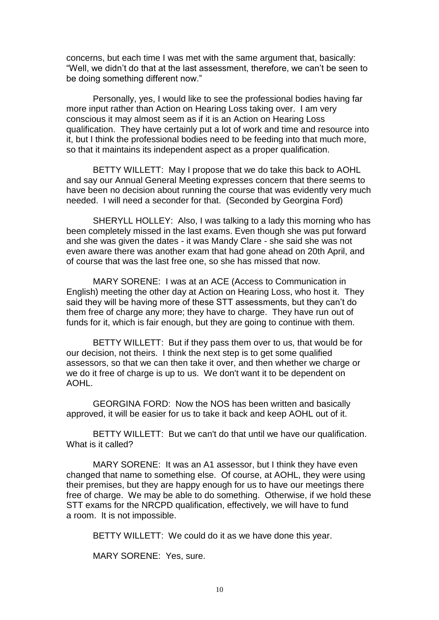concerns, but each time I was met with the same argument that, basically: "Well, we didn't do that at the last assessment, therefore, we can't be seen to be doing something different now."

Personally, yes, I would like to see the professional bodies having far more input rather than Action on Hearing Loss taking over. I am very conscious it may almost seem as if it is an Action on Hearing Loss qualification. They have certainly put a lot of work and time and resource into it, but I think the professional bodies need to be feeding into that much more, so that it maintains its independent aspect as a proper qualification.

BETTY WILLETT: May I propose that we do take this back to AOHL and say our Annual General Meeting expresses concern that there seems to have been no decision about running the course that was evidently very much needed. I will need a seconder for that. (Seconded by Georgina Ford)

SHERYLL HOLLEY: Also, I was talking to a lady this morning who has been completely missed in the last exams. Even though she was put forward and she was given the dates - it was Mandy Clare - she said she was not even aware there was another exam that had gone ahead on 20th April, and of course that was the last free one, so she has missed that now.

MARY SORENE: I was at an ACE (Access to Communication in English) meeting the other day at Action on Hearing Loss, who host it. They said they will be having more of these STT assessments, but they can't do them free of charge any more; they have to charge. They have run out of funds for it, which is fair enough, but they are going to continue with them.

BETTY WILLETT: But if they pass them over to us, that would be for our decision, not theirs. I think the next step is to get some qualified assessors, so that we can then take it over, and then whether we charge or we do it free of charge is up to us. We don't want it to be dependent on AOHL.

GEORGINA FORD: Now the NOS has been written and basically approved, it will be easier for us to take it back and keep AOHL out of it.

BETTY WILLETT: But we can't do that until we have our qualification. What is it called?

MARY SORENE: It was an A1 assessor, but I think they have even changed that name to something else. Of course, at AOHL, they were using their premises, but they are happy enough for us to have our meetings there free of charge. We may be able to do something. Otherwise, if we hold these STT exams for the NRCPD qualification, effectively, we will have to fund a room. It is not impossible.

BETTY WILLETT: We could do it as we have done this year.

MARY SORENE: Yes, sure.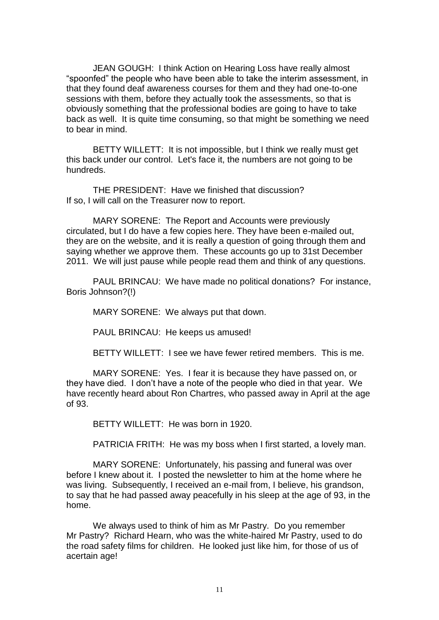JEAN GOUGH: I think Action on Hearing Loss have really almost "spoonfed" the people who have been able to take the interim assessment, in that they found deaf awareness courses for them and they had one-to-one sessions with them, before they actually took the assessments, so that is obviously something that the professional bodies are going to have to take back as well. It is quite time consuming, so that might be something we need to bear in mind.

BETTY WILLETT: It is not impossible, but I think we really must get this back under our control. Let's face it, the numbers are not going to be hundreds.

THE PRESIDENT: Have we finished that discussion? If so, I will call on the Treasurer now to report.

MARY SORENE: The Report and Accounts were previously circulated, but I do have a few copies here. They have been e-mailed out, they are on the website, and it is really a question of going through them and saying whether we approve them. These accounts go up to 31st December 2011. We will just pause while people read them and think of any questions.

PAUL BRINCAU: We have made no political donations? For instance, Boris Johnson?(!)

MARY SORENE: We always put that down.

PAUL BRINCAU: He keeps us amused!

BETTY WILLETT: I see we have fewer retired members. This is me.

MARY SORENE: Yes. I fear it is because they have passed on, or they have died. I don't have a note of the people who died in that year. We have recently heard about Ron Chartres, who passed away in April at the age of 93.

BETTY WILLETT: He was born in 1920.

PATRICIA FRITH: He was my boss when I first started, a lovely man.

MARY SORENE: Unfortunately, his passing and funeral was over before I knew about it. I posted the newsletter to him at the home where he was living. Subsequently, I received an e-mail from, I believe, his grandson, to say that he had passed away peacefully in his sleep at the age of 93, in the home.

We always used to think of him as Mr Pastry. Do you remember Mr Pastry? Richard Hearn, who was the white-haired Mr Pastry, used to do the road safety films for children. He looked just like him, for those of us of acertain age!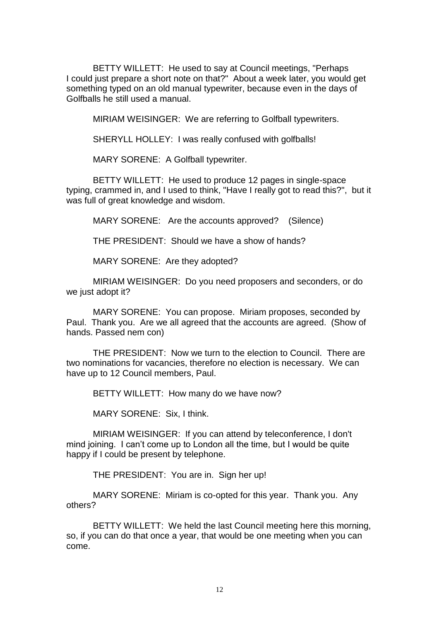BETTY WILLETT: He used to say at Council meetings, "Perhaps I could just prepare a short note on that?" About a week later, you would get something typed on an old manual typewriter, because even in the days of Golfballs he still used a manual.

MIRIAM WEISINGER: We are referring to Golfball typewriters.

SHERYLL HOLLEY: I was really confused with golfballs!

MARY SORENE: A Golfball typewriter.

BETTY WILLETT: He used to produce 12 pages in single-space typing, crammed in, and I used to think, "Have I really got to read this?", but it was full of great knowledge and wisdom.

MARY SORENE: Are the accounts approved? (Silence)

THE PRESIDENT: Should we have a show of hands?

MARY SORENE: Are they adopted?

MIRIAM WEISINGER: Do you need proposers and seconders, or do we just adopt it?

MARY SORENE: You can propose. Miriam proposes, seconded by Paul. Thank you. Are we all agreed that the accounts are agreed. (Show of hands. Passed nem con)

THE PRESIDENT: Now we turn to the election to Council. There are two nominations for vacancies, therefore no election is necessary. We can have up to 12 Council members, Paul.

BETTY WILLETT: How many do we have now?

MARY SORENE: Six, I think.

MIRIAM WEISINGER: If you can attend by teleconference, I don't mind joining. I can't come up to London all the time, but I would be quite happy if I could be present by telephone.

THE PRESIDENT: You are in. Sign her up!

MARY SORENE: Miriam is co-opted for this year. Thank you. Any others?

BETTY WILLETT: We held the last Council meeting here this morning, so, if you can do that once a year, that would be one meeting when you can come.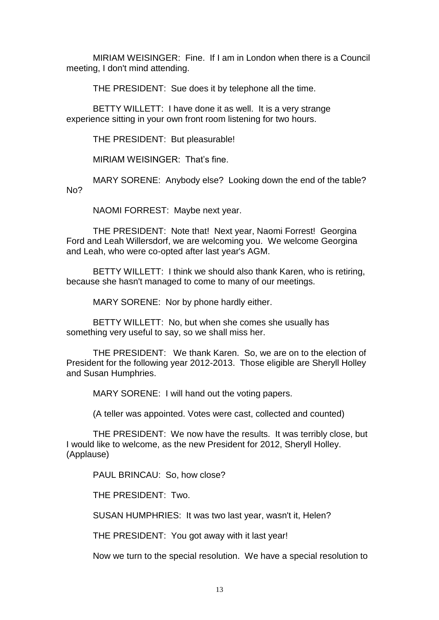MIRIAM WEISINGER: Fine. If I am in London when there is a Council meeting, I don't mind attending.

THE PRESIDENT: Sue does it by telephone all the time.

BETTY WILLETT: I have done it as well. It is a very strange experience sitting in your own front room listening for two hours.

THE PRESIDENT: But pleasurable!

MIRIAM WEISINGER: That's fine.

MARY SORENE: Anybody else? Looking down the end of the table? No?

NAOMI FORREST: Maybe next year.

THE PRESIDENT: Note that! Next year, Naomi Forrest! Georgina Ford and Leah Willersdorf, we are welcoming you. We welcome Georgina and Leah, who were co-opted after last year's AGM.

BETTY WILLETT: I think we should also thank Karen, who is retiring. because she hasn't managed to come to many of our meetings.

MARY SORENE: Nor by phone hardly either.

BETTY WILLETT: No, but when she comes she usually has something very useful to say, so we shall miss her.

THE PRESIDENT: We thank Karen. So, we are on to the election of President for the following year 2012-2013. Those eligible are Sheryll Holley and Susan Humphries.

MARY SORENE: I will hand out the voting papers.

(A teller was appointed. Votes were cast, collected and counted)

THE PRESIDENT: We now have the results. It was terribly close, but I would like to welcome, as the new President for 2012, Sheryll Holley. (Applause)

PAUL BRINCAU: So, how close?

THE PRESIDENT: Two.

SUSAN HUMPHRIES: It was two last year, wasn't it, Helen?

THE PRESIDENT: You got away with it last year!

Now we turn to the special resolution. We have a special resolution to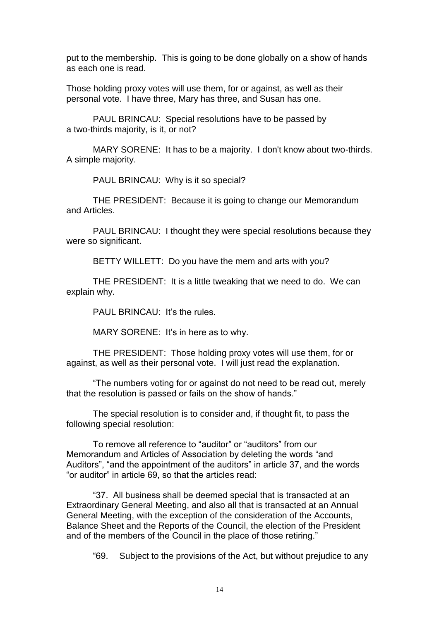put to the membership. This is going to be done globally on a show of hands as each one is read.

Those holding proxy votes will use them, for or against, as well as their personal vote. I have three, Mary has three, and Susan has one.

PAUL BRINCAU: Special resolutions have to be passed by a two-thirds majority, is it, or not?

MARY SORENE: It has to be a majority. I don't know about two-thirds. A simple majority.

PAUL BRINCAU: Why is it so special?

THE PRESIDENT: Because it is going to change our Memorandum and Articles.

PAUL BRINCAU: I thought they were special resolutions because they were so significant.

BETTY WILLETT: Do you have the mem and arts with you?

THE PRESIDENT: It is a little tweaking that we need to do. We can explain why.

PAUL BRINCAU: It's the rules.

MARY SORENE: It's in here as to why.

THE PRESIDENT: Those holding proxy votes will use them, for or against, as well as their personal vote. I will just read the explanation.

"The numbers voting for or against do not need to be read out, merely that the resolution is passed or fails on the show of hands."

The special resolution is to consider and, if thought fit, to pass the following special resolution:

To remove all reference to "auditor" or "auditors" from our Memorandum and Articles of Association by deleting the words "and Auditors", "and the appointment of the auditors" in article 37, and the words "or auditor" in article 69, so that the articles read:

"37. All business shall be deemed special that is transacted at an Extraordinary General Meeting, and also all that is transacted at an Annual General Meeting, with the exception of the consideration of the Accounts, Balance Sheet and the Reports of the Council, the election of the President and of the members of the Council in the place of those retiring."

"69. Subject to the provisions of the Act, but without prejudice to any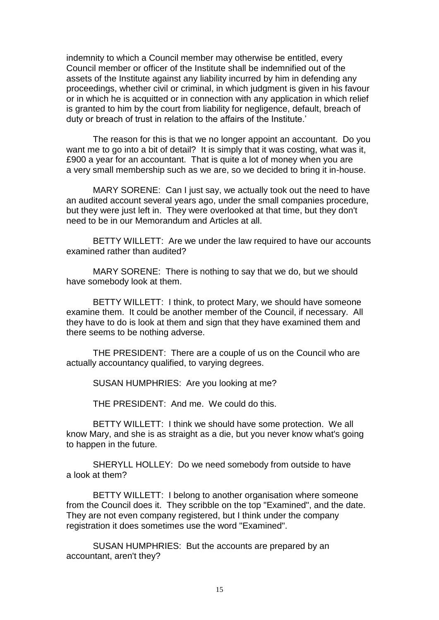indemnity to which a Council member may otherwise be entitled, every Council member or officer of the Institute shall be indemnified out of the assets of the Institute against any liability incurred by him in defending any proceedings, whether civil or criminal, in which judgment is given in his favour or in which he is acquitted or in connection with any application in which relief is granted to him by the court from liability for negligence, default, breach of duty or breach of trust in relation to the affairs of the Institute.'

The reason for this is that we no longer appoint an accountant. Do you want me to go into a bit of detail? It is simply that it was costing, what was it, £900 a year for an accountant. That is quite a lot of money when you are a very small membership such as we are, so we decided to bring it in-house.

MARY SORENE: Can I just say, we actually took out the need to have an audited account several years ago, under the small companies procedure, but they were just left in. They were overlooked at that time, but they don't need to be in our Memorandum and Articles at all.

BETTY WILLETT: Are we under the law required to have our accounts examined rather than audited?

MARY SORENE: There is nothing to say that we do, but we should have somebody look at them.

BETTY WILLETT: I think, to protect Mary, we should have someone examine them. It could be another member of the Council, if necessary. All they have to do is look at them and sign that they have examined them and there seems to be nothing adverse.

THE PRESIDENT: There are a couple of us on the Council who are actually accountancy qualified, to varying degrees.

SUSAN HUMPHRIES: Are you looking at me?

THE PRESIDENT: And me. We could do this.

BETTY WILLETT: I think we should have some protection. We all know Mary, and she is as straight as a die, but you never know what's going to happen in the future.

SHERYLL HOLLEY: Do we need somebody from outside to have a look at them?

BETTY WILLETT: I belong to another organisation where someone from the Council does it. They scribble on the top "Examined", and the date. They are not even company registered, but I think under the company registration it does sometimes use the word "Examined".

SUSAN HUMPHRIES: But the accounts are prepared by an accountant, aren't they?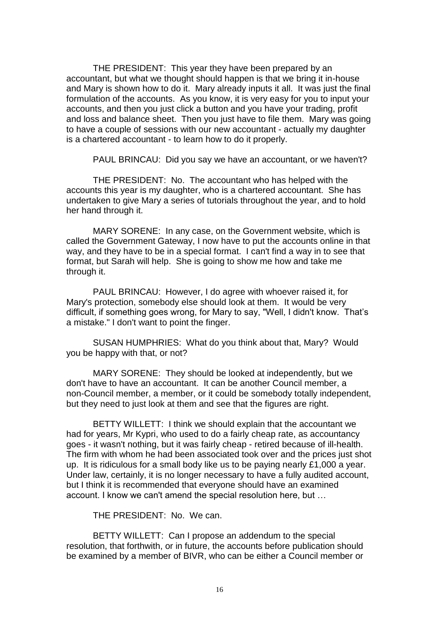THE PRESIDENT: This year they have been prepared by an accountant, but what we thought should happen is that we bring it in-house and Mary is shown how to do it. Mary already inputs it all. It was just the final formulation of the accounts. As you know, it is very easy for you to input your accounts, and then you just click a button and you have your trading, profit and loss and balance sheet. Then you just have to file them. Mary was going to have a couple of sessions with our new accountant - actually my daughter is a chartered accountant - to learn how to do it properly.

PAUL BRINCAU: Did you say we have an accountant, or we haven't?

THE PRESIDENT: No. The accountant who has helped with the accounts this year is my daughter, who is a chartered accountant. She has undertaken to give Mary a series of tutorials throughout the year, and to hold her hand through it.

MARY SORENE: In any case, on the Government website, which is called the Government Gateway, I now have to put the accounts online in that way, and they have to be in a special format. I can't find a way in to see that format, but Sarah will help. She is going to show me how and take me through it.

PAUL BRINCAU: However, I do agree with whoever raised it, for Mary's protection, somebody else should look at them. It would be very difficult, if something goes wrong, for Mary to say, "Well, I didn't know. That's a mistake." I don't want to point the finger.

SUSAN HUMPHRIES: What do you think about that, Mary? Would you be happy with that, or not?

MARY SORENE: They should be looked at independently, but we don't have to have an accountant. It can be another Council member, a non-Council member, a member, or it could be somebody totally independent, but they need to just look at them and see that the figures are right.

BETTY WILLETT: I think we should explain that the accountant we had for years, Mr Kypri, who used to do a fairly cheap rate, as accountancy goes - it wasn't nothing, but it was fairly cheap - retired because of ill-health. The firm with whom he had been associated took over and the prices just shot up. It is ridiculous for a small body like us to be paying nearly £1,000 a year. Under law, certainly, it is no longer necessary to have a fully audited account, but I think it is recommended that everyone should have an examined account. I know we can't amend the special resolution here, but …

THE PRESIDENT: No. We can.

BETTY WILLETT: Can I propose an addendum to the special resolution, that forthwith, or in future, the accounts before publication should be examined by a member of BIVR, who can be either a Council member or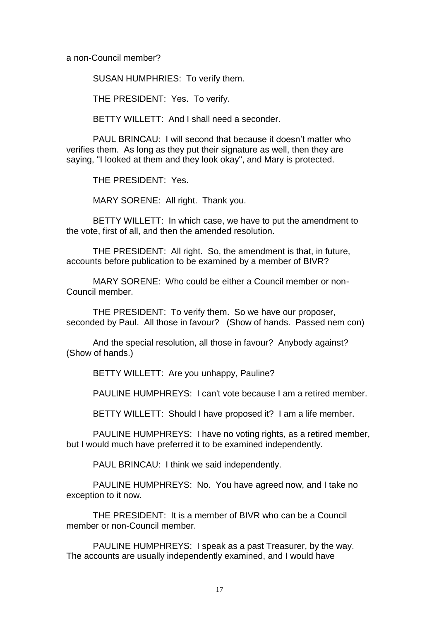a non-Council member?

SUSAN HUMPHRIES: To verify them.

THE PRESIDENT: Yes. To verify.

BETTY WILLETT: And I shall need a seconder.

PAUL BRINCAU: I will second that because it doesn't matter who verifies them. As long as they put their signature as well, then they are saying, "I looked at them and they look okay", and Mary is protected.

THE PRESIDENT: Yes.

MARY SORENE: All right. Thank you.

BETTY WILLETT: In which case, we have to put the amendment to the vote, first of all, and then the amended resolution.

THE PRESIDENT: All right. So, the amendment is that, in future, accounts before publication to be examined by a member of BIVR?

MARY SORENE: Who could be either a Council member or non-Council member.

THE PRESIDENT: To verify them. So we have our proposer, seconded by Paul. All those in favour? (Show of hands. Passed nem con)

And the special resolution, all those in favour? Anybody against? (Show of hands.)

BETTY WILLETT: Are you unhappy, Pauline?

PAULINE HUMPHREYS: I can't vote because I am a retired member.

BETTY WILLETT: Should I have proposed it? I am a life member.

PAULINE HUMPHREYS: I have no voting rights, as a retired member, but I would much have preferred it to be examined independently.

PAUL BRINCAU: I think we said independently.

PAULINE HUMPHREYS: No. You have agreed now, and I take no exception to it now.

THE PRESIDENT: It is a member of BIVR who can be a Council member or non-Council member.

PAULINE HUMPHREYS: I speak as a past Treasurer, by the way. The accounts are usually independently examined, and I would have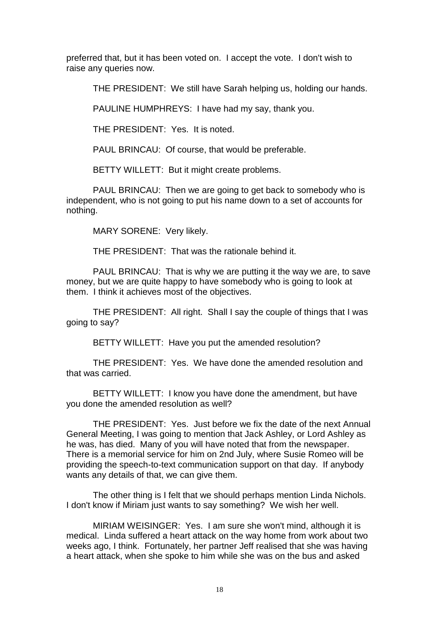preferred that, but it has been voted on. I accept the vote. I don't wish to raise any queries now.

THE PRESIDENT: We still have Sarah helping us, holding our hands.

PAULINE HUMPHREYS: I have had my say, thank you.

THE PRESIDENT: Yes. It is noted.

PAUL BRINCAU: Of course, that would be preferable.

BETTY WILLETT: But it might create problems.

PAUL BRINCAU: Then we are going to get back to somebody who is independent, who is not going to put his name down to a set of accounts for nothing.

MARY SORENE: Very likely.

THE PRESIDENT: That was the rationale behind it.

PAUL BRINCAU: That is why we are putting it the way we are, to save money, but we are quite happy to have somebody who is going to look at them. I think it achieves most of the objectives.

THE PRESIDENT: All right. Shall I say the couple of things that I was going to say?

BETTY WILLETT: Have you put the amended resolution?

THE PRESIDENT: Yes. We have done the amended resolution and that was carried.

BETTY WILLETT: I know you have done the amendment, but have you done the amended resolution as well?

THE PRESIDENT: Yes. Just before we fix the date of the next Annual General Meeting, I was going to mention that Jack Ashley, or Lord Ashley as he was, has died. Many of you will have noted that from the newspaper. There is a memorial service for him on 2nd July, where Susie Romeo will be providing the speech-to-text communication support on that day. If anybody wants any details of that, we can give them.

The other thing is I felt that we should perhaps mention Linda Nichols. I don't know if Miriam just wants to say something? We wish her well.

MIRIAM WEISINGER: Yes. I am sure she won't mind, although it is medical. Linda suffered a heart attack on the way home from work about two weeks ago, I think. Fortunately, her partner Jeff realised that she was having a heart attack, when she spoke to him while she was on the bus and asked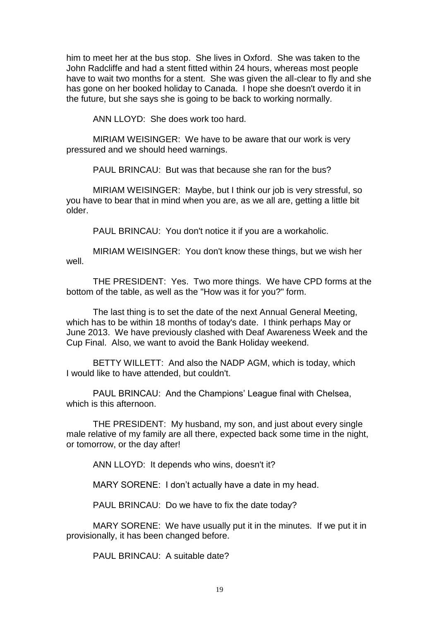him to meet her at the bus stop. She lives in Oxford. She was taken to the John Radcliffe and had a stent fitted within 24 hours, whereas most people have to wait two months for a stent. She was given the all-clear to fly and she has gone on her booked holiday to Canada. I hope she doesn't overdo it in the future, but she says she is going to be back to working normally.

ANN LLOYD: She does work too hard.

MIRIAM WEISINGER: We have to be aware that our work is very pressured and we should heed warnings.

PAUL BRINCAU: But was that because she ran for the bus?

MIRIAM WEISINGER: Maybe, but I think our job is very stressful, so you have to bear that in mind when you are, as we all are, getting a little bit older.

PAUL BRINCAU: You don't notice it if you are a workaholic.

MIRIAM WEISINGER: You don't know these things, but we wish her well.

THE PRESIDENT: Yes. Two more things. We have CPD forms at the bottom of the table, as well as the "How was it for you?" form.

The last thing is to set the date of the next Annual General Meeting, which has to be within 18 months of today's date. I think perhaps May or June 2013. We have previously clashed with Deaf Awareness Week and the Cup Final. Also, we want to avoid the Bank Holiday weekend.

BETTY WILLETT: And also the NADP AGM, which is today, which I would like to have attended, but couldn't.

PAUL BRINCAU: And the Champions' League final with Chelsea, which is this afternoon.

THE PRESIDENT: My husband, my son, and just about every single male relative of my family are all there, expected back some time in the night, or tomorrow, or the day after!

ANN LLOYD: It depends who wins, doesn't it?

MARY SORENE: I don't actually have a date in my head.

PAUL BRINCAU: Do we have to fix the date today?

MARY SORENE: We have usually put it in the minutes. If we put it in provisionally, it has been changed before.

PAUL BRINCAU: A suitable date?